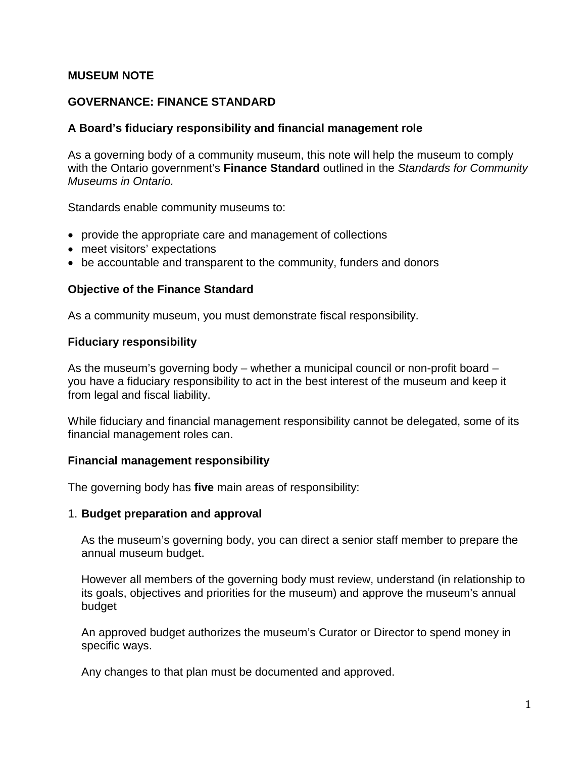## **MUSEUM NOTE**

## **GOVERNANCE: FINANCE STANDARD**

#### **A Board's fiduciary responsibility and financial management role**

As a governing body of a community museum, this note will help the museum to comply with the Ontario government's **Finance Standard** outlined in the *Standards for Community Museums in Ontario.*

Standards enable community museums to:

- provide the appropriate care and management of collections
- meet visitors' expectations
- be accountable and transparent to the community, funders and donors

#### **Objective of the Finance Standard**

As a community museum, you must demonstrate fiscal responsibility.

#### **Fiduciary responsibility**

As the museum's governing body – whether a municipal council or non-profit board – you have a fiduciary responsibility to act in the best interest of the museum and keep it from legal and fiscal liability.

While fiduciary and financial management responsibility cannot be delegated, some of its financial management roles can.

#### **Financial management responsibility**

The governing body has **five** main areas of responsibility:

#### 1. **Budget preparation and approval**

As the museum's governing body, you can direct a senior staff member to prepare the annual museum budget.

However all members of the governing body must review, understand (in relationship to its goals, objectives and priorities for the museum) and approve the museum's annual budget

An approved budget authorizes the museum's Curator or Director to spend money in specific ways.

Any changes to that plan must be documented and approved.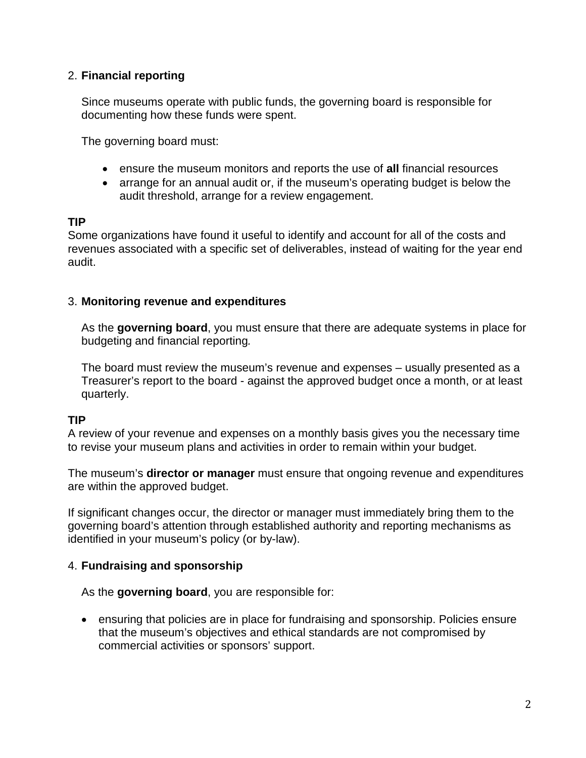# 2. **Financial reporting**

Since museums operate with public funds, the governing board is responsible for documenting how these funds were spent.

The governing board must:

- ensure the museum monitors and reports the use of **all** financial resources
- arrange for an annual audit or, if the museum's operating budget is below the audit threshold, arrange for a review engagement.

## **TIP**

Some organizations have found it useful to identify and account for all of the costs and revenues associated with a specific set of deliverables, instead of waiting for the year end audit.

## 3. **Monitoring revenue and expenditures**

As the **governing board**, you must ensure that there are adequate systems in place for budgeting and financial reporting*.*

The board must review the museum's revenue and expenses – usually presented as a Treasurer's report to the board - against the approved budget once a month, or at least quarterly.

## **TIP**

A review of your revenue and expenses on a monthly basis gives you the necessary time to revise your museum plans and activities in order to remain within your budget.

The museum's **director or manager** must ensure that ongoing revenue and expenditures are within the approved budget.

If significant changes occur, the director or manager must immediately bring them to the governing board's attention through established authority and reporting mechanisms as identified in your museum's policy (or by-law).

## 4. **Fundraising and sponsorship**

As the **governing board**, you are responsible for:

• ensuring that policies are in place for fundraising and sponsorship. Policies ensure that the museum's objectives and ethical standards are not compromised by commercial activities or sponsors' support.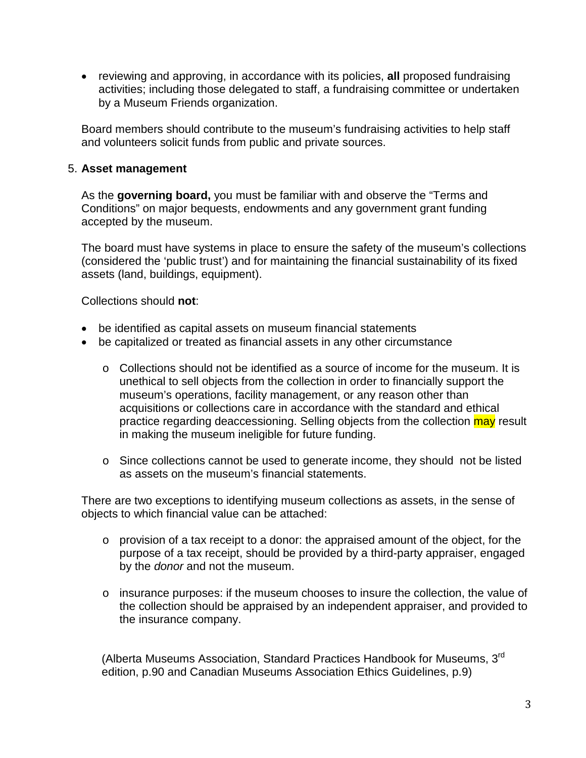• reviewing and approving, in accordance with its policies, **all** proposed fundraising activities; including those delegated to staff, a fundraising committee or undertaken by a Museum Friends organization.

Board members should contribute to the museum's fundraising activities to help staff and volunteers solicit funds from public and private sources.

# 5. **Asset management**

As the **governing board,** you must be familiar with and observe the "Terms and Conditions" on major bequests, endowments and any government grant funding accepted by the museum.

The board must have systems in place to ensure the safety of the museum's collections (considered the 'public trust') and for maintaining the financial sustainability of its fixed assets (land, buildings, equipment).

Collections should **not**:

- be identified as capital assets on museum financial statements
- be capitalized or treated as financial assets in any other circumstance
	- $\circ$  Collections should not be identified as a source of income for the museum. It is unethical to sell objects from the collection in order to financially support the museum's operations, facility management, or any reason other than acquisitions or collections care in accordance with the standard and ethical practice regarding deaccessioning. Selling objects from the collection may result in making the museum ineligible for future funding.
	- o Since collections cannot be used to generate income, they should not be listed as assets on the museum's financial statements.

There are two exceptions to identifying museum collections as assets, in the sense of objects to which financial value can be attached:

- $\circ$  provision of a tax receipt to a donor: the appraised amount of the object, for the purpose of a tax receipt, should be provided by a third-party appraiser, engaged by the *donor* and not the museum.
- $\circ$  insurance purposes: if the museum chooses to insure the collection, the value of the collection should be appraised by an independent appraiser, and provided to the insurance company.

(Alberta Museums Association, Standard Practices Handbook for Museums, 3rd edition, p.90 and Canadian Museums Association Ethics Guidelines, p.9)